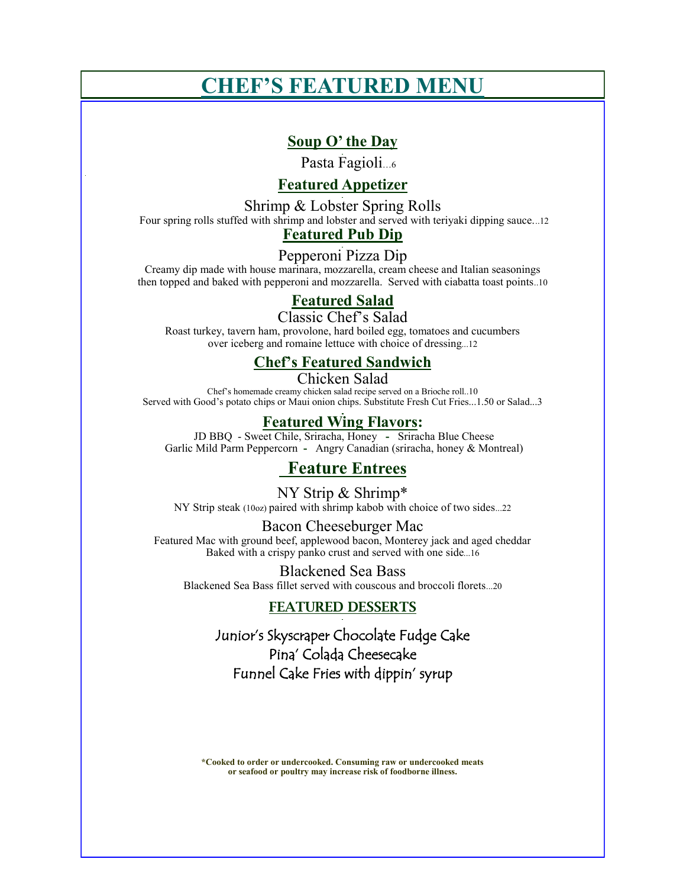# **CHEF'S FEATURED MENU**

# **Soup O' the Day**

Pasta Fagioli…6

## **Featured Appetizer**

Shrimp & Lobster Spring Rolls

Four spring rolls stuffed with shrimp and lobster and served with teriyaki dipping sauce...12

# **Featured Pub Dip**

## Pepperoni Pizza Dip

Creamy dip made with house marinara, mozzarella, cream cheese and Italian seasonings then topped and baked with pepperoni and mozzarella. Served with ciabatta toast points..10

# **Featured Salad**

Classic Chef's Salad

Roast turkey, tavern ham, provolone, hard boiled egg, tomatoes and cucumbers over iceberg and romaine lettuce with choice of dressing...12 

### **Chef's Featured Sandwich**

Chicken Salad Chef's homemade creamy chicken salad recipe served on a Brioche roll..10 Served with Good's potato chips or Maui onion chips. Substitute Fresh Cut Fries...1.50 or Salad...3

### **Featured Wing Flavors:**

JD BBQ - Sweet Chile, Sriracha, Honey **-** Sriracha Blue Cheese Garlic Mild Parm Peppercorn **-** Angry Canadian (sriracha, honey & Montreal)

# **Feature Entrees**

NY Strip & Shrimp\* NY Strip steak (10oz) paired with shrimp kabob with choice of two sides...22

Bacon Cheeseburger Mac Featured Mac with ground beef, applewood bacon, Monterey jack and aged cheddar Baked with a crispy panko crust and served with one side...16

Blackened Sea Bass Blackened Sea Bass fillet served with couscous and broccoli florets...20

### FEATURED DESSERTS

Junior's Skyscraper Chocolate Fudge Cake Pina' Colada Cheesecake Funnel Cake Fries with dippin' syrup

**\*Cooked to order or undercooked. Consuming raw or undercooked meats or seafood or poultry may increase risk of foodborne illness.**